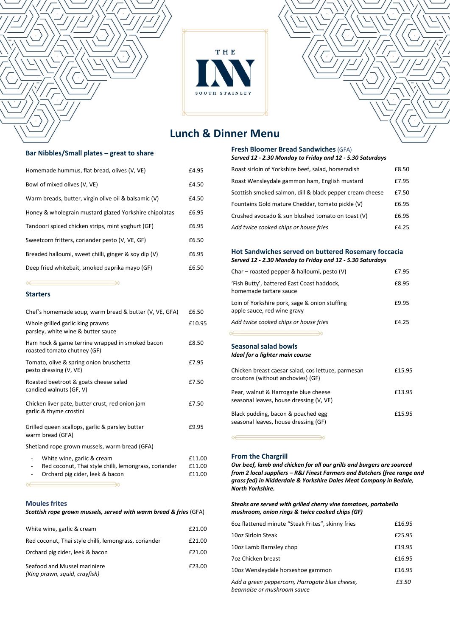

# **Lunch & Dinner Menu**

### **Bar Nibbles/Small plates – great to share**

| Homemade hummus, flat bread, olives (V, VE)            | £4.95 |
|--------------------------------------------------------|-------|
| Bowl of mixed olives (V, VE)                           | £4.50 |
| Warm breads, butter, virgin olive oil & balsamic (V)   | £4.50 |
| Honey & wholegrain mustard glazed Yorkshire chipolatas | £6.95 |
| Tandoori spiced chicken strips, mint yoghurt (GF)      | £6.95 |
| Sweetcorn fritters, coriander pesto (V, VE, GF)        | £6.50 |
| Breaded halloumi, sweet chilli, ginger & soy dip (V)   | £6.95 |
| Deep fried whitebait, smoked paprika mayo (GF)         | £6.50 |

## **Starters**

| Chef's homemade soup, warm bread & butter (V, VE, GFA)                                                                                                                                 | £6.50                      |
|----------------------------------------------------------------------------------------------------------------------------------------------------------------------------------------|----------------------------|
| Whole grilled garlic king prawns<br>parsley, white wine & butter sauce                                                                                                                 | £10.95                     |
| Ham hock & game terrine wrapped in smoked bacon<br>roasted tomato chutney (GF)                                                                                                         | £8.50                      |
| Tomato, olive & spring onion bruschetta<br>pesto dressing (V, VE)                                                                                                                      | £7.95                      |
| Roasted beetroot & goats cheese salad<br>candied walnuts (GF, V)                                                                                                                       | £7.50                      |
| Chicken liver pate, butter crust, red onion jam<br>garlic & thyme crostini                                                                                                             | £7.50                      |
| Grilled queen scallops, garlic & parsley butter<br>warm bread (GFA)                                                                                                                    | £9.95                      |
| Shetland rope grown mussels, warm bread (GFA)                                                                                                                                          |                            |
| White wine, garlic & cream<br>$\qquad \qquad \blacksquare$<br>Red coconut, Thai style chilli, lemongrass, coriander<br>Orchard pig cider, leek & bacon<br>$\qquad \qquad \blacksquare$ | £11.00<br>£11.00<br>£11.00 |
|                                                                                                                                                                                        |                            |

#### **Moules frites**

| Scottish rope grown mussels, served with warm bread & fries (GFA) |        |  |
|-------------------------------------------------------------------|--------|--|
| White wine, garlic & cream                                        | £21.00 |  |
| Red coconut. Thai style chilli lemongrass, coriander              | £21.00 |  |

| Red Coconut, Thai style Chilli, lemongrass, conander          | EZI.UU |
|---------------------------------------------------------------|--------|
| Orchard pig cider, leek & bacon                               | £21.00 |
| Seafood and Mussel mariniere<br>(King prawn, squid, crayfish) | £23.00 |

# **Fresh Bloomer Bread Sandwiches**(GFA)

| Served 12 - 2.30 Monday to Friday and 12 - 5.30 Saturdays |       |
|-----------------------------------------------------------|-------|
| Roast sirloin of Yorkshire beef, salad, horseradish       | £8.50 |
| Roast Wensleydale gammon ham, English mustard             | £7.95 |
| Scottish smoked salmon, dill & black pepper cream cheese  | £7.50 |
| Fountains Gold mature Cheddar, tomato pickle (V)          | £6.95 |
| Crushed avocado & sun blushed tomato on toast (V)         | £6.95 |
| Add twice cooked chips or house fries                     | £4.25 |

### **Hot Sandwiches served on buttered Rosemary foccacia** *Served 12 - 2.30 Monday to Friday and 12 - 5.30 Saturdays*

| Char – roasted pepper & halloumi, pesto $(V)$                                | £7.95 |
|------------------------------------------------------------------------------|-------|
| 'Fish Butty', battered East Coast haddock,<br>homemade tartare sauce         | £8.95 |
| Loin of Yorkshire pork, sage & onion stuffing<br>apple sauce, red wine gravy | £9.95 |
| Add twice cooked chips or house fries                                        | £4.25 |
|                                                                              |       |
| Seasonal salad bowls                                                         |       |
| Ideal for a lighter main course                                              |       |
| Chicken breast caesar salad, cos lettuce, parmesan                           |       |

| CHICKCH DI Cast Cacsal Salau, COS ICttucc, Dallitcsall<br>croutons (without anchovies) (GF) | ⊥⊥  .  .  .  . |
|---------------------------------------------------------------------------------------------|----------------|
| Pear, walnut & Harrogate blue cheese<br>seasonal leaves, house dressing (V, VE)             | £13.95         |
| Black pudding, bacon & poached egg<br>seasonal leaves, house dressing (GF)                  | £15.95         |

#### **From the Chargrill**

 $\propto$ 

*Our beef, lamb and chicken for all our grills and burgers are sourced from 2 local suppliers – R&J Finest Farmers and Butchers (free range and grass fed) in Nidderdale & Yorkshire Dales Meat Company in Bedale, North Yorkshire.* 

#### *Steaks are served with grilled cherry vine tomatoes, portobello mushroom, onion rings & twice cooked chips (GF)*

| 602 flattened minute "Steak Frites", skinny fries                             | £16.95 |
|-------------------------------------------------------------------------------|--------|
| 10oz Sirloin Steak                                                            | £25.95 |
| 10oz Lamb Barnsley chop                                                       | £19.95 |
| 7oz Chicken breast                                                            | £16.95 |
| 10oz Wensleydale horseshoe gammon                                             | £16.95 |
| Add a green peppercorn, Harrogate blue cheese,<br>bearnaise or mushroom sauce | £3.50  |